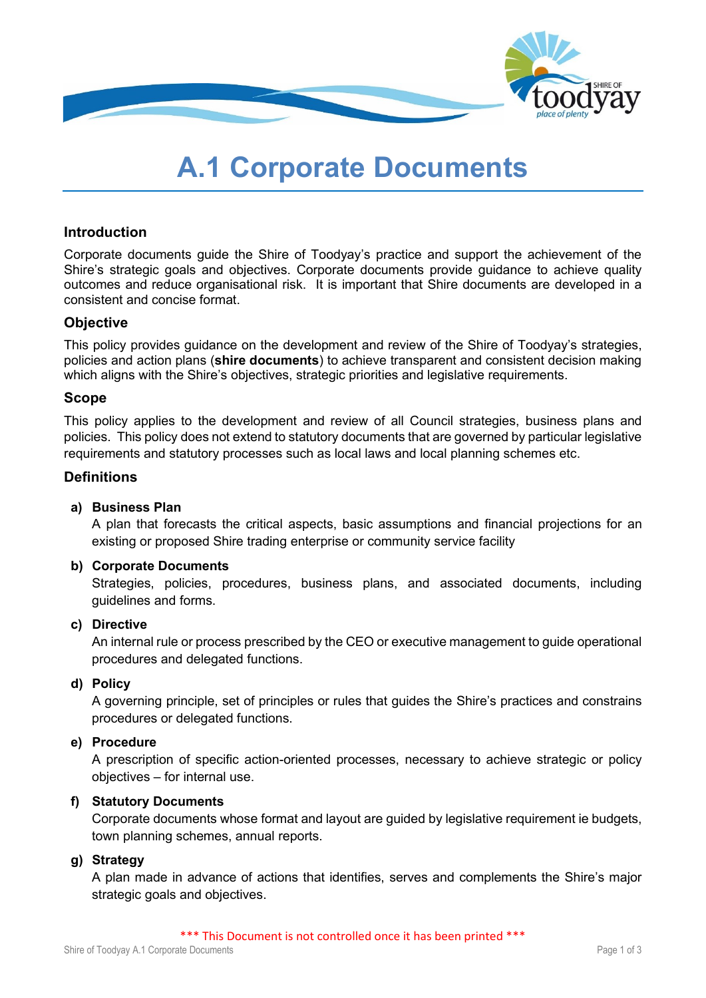

# **A.1 Corporate Documents**

## **Introduction**

Corporate documents guide the Shire of Toodyay's practice and support the achievement of the Shire's strategic goals and objectives. Corporate documents provide guidance to achieve quality outcomes and reduce organisational risk. It is important that Shire documents are developed in a consistent and concise format.

## **Objective**

This policy provides guidance on the development and review of the Shire of Toodyay's strategies, policies and action plans (**shire documents**) to achieve transparent and consistent decision making which aligns with the Shire's objectives, strategic priorities and legislative requirements.

## **Scope**

This policy applies to the development and review of all Council strategies, business plans and policies. This policy does not extend to statutory documents that are governed by particular legislative requirements and statutory processes such as local laws and local planning schemes etc.

## **Definitions**

## **a) Business Plan**

A plan that forecasts the critical aspects, basic assumptions and financial projections for an existing or proposed Shire trading enterprise or community service facility

## **b) Corporate Documents**

Strategies, policies, procedures, business plans, and associated documents, including guidelines and forms.

#### **c) Directive**

An internal rule or process prescribed by the CEO or executive management to guide operational procedures and delegated functions.

## **d) Policy**

A governing principle, set of principles or rules that guides the Shire's practices and constrains procedures or delegated functions.

#### **e) Procedure**

A prescription of specific action-oriented processes, necessary to achieve strategic or policy objectives – for internal use.

#### **f) Statutory Documents**

Corporate documents whose format and layout are guided by legislative requirement ie budgets, town planning schemes, annual reports.

## **g) Strategy**

A plan made in advance of actions that identifies, serves and complements the Shire's major strategic goals and objectives.

\*\*\* This Document is not controlled once it has been printed \*\*\*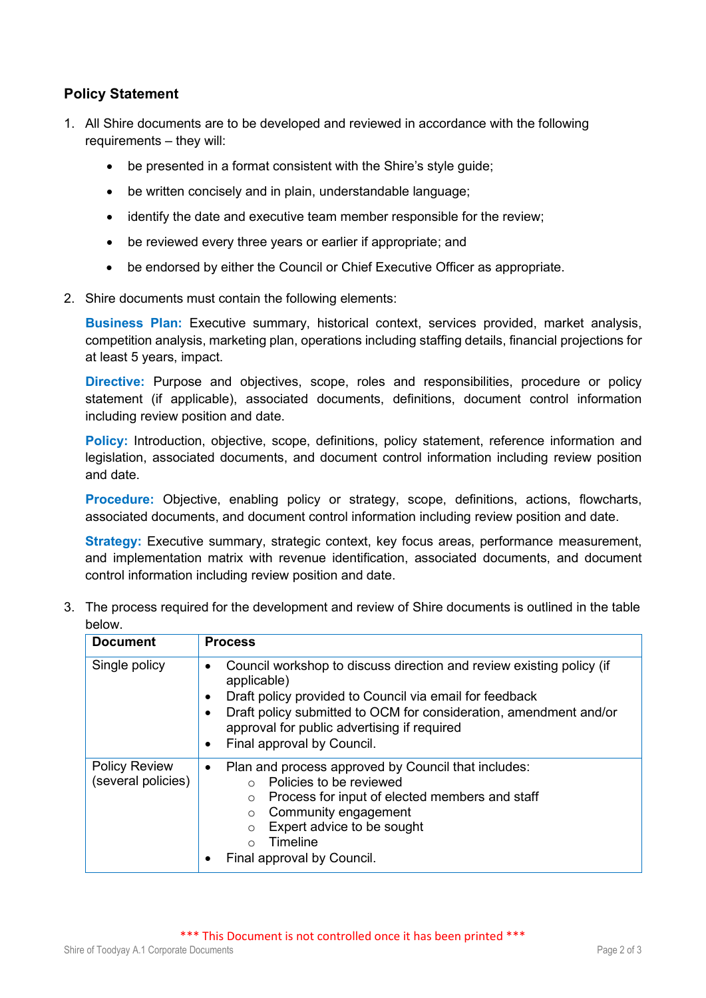## **Policy Statement**

- 1. All Shire documents are to be developed and reviewed in accordance with the following requirements – they will:
	- be presented in a format consistent with the Shire's style guide;
	- be written concisely and in plain, understandable language;
	- identify the date and executive team member responsible for the review;
	- be reviewed every three years or earlier if appropriate; and
	- be endorsed by either the Council or Chief Executive Officer as appropriate.
- 2. Shire documents must contain the following elements:

**Business Plan:** Executive summary, historical context, services provided, market analysis, competition analysis, marketing plan, operations including staffing details, financial projections for at least 5 years, impact.

**Directive:** Purpose and objectives, scope, roles and responsibilities, procedure or policy statement (if applicable), associated documents, definitions, document control information including review position and date.

**Policy:** Introduction, objective, scope, definitions, policy statement, reference information and legislation, associated documents, and document control information including review position and date.

**Procedure:** Objective, enabling policy or strategy, scope, definitions, actions, flowcharts, associated documents, and document control information including review position and date.

**Strategy:** Executive summary, strategic context, key focus areas, performance measurement, and implementation matrix with revenue identification, associated documents, and document control information including review position and date.

3. The process required for the development and review of Shire documents is outlined in the table below.

| <b>Document</b>                            | <b>Process</b>                                                                                                                                                                                                                                                                                                                  |
|--------------------------------------------|---------------------------------------------------------------------------------------------------------------------------------------------------------------------------------------------------------------------------------------------------------------------------------------------------------------------------------|
| Single policy                              | Council workshop to discuss direction and review existing policy (if<br>$\bullet$<br>applicable)<br>Draft policy provided to Council via email for feedback<br>٠<br>Draft policy submitted to OCM for consideration, amendment and/or<br>approval for public advertising if required<br>Final approval by Council.<br>$\bullet$ |
| <b>Policy Review</b><br>(several policies) | Plan and process approved by Council that includes:<br>$\bullet$<br>Policies to be reviewed<br>$\bigcap$<br>Process for input of elected members and staff<br>$\Omega$<br>Community engagement<br>$\circ$<br>Expert advice to be sought<br>$\Omega$<br>Timeline<br>$\cap$<br>Final approval by Council.                         |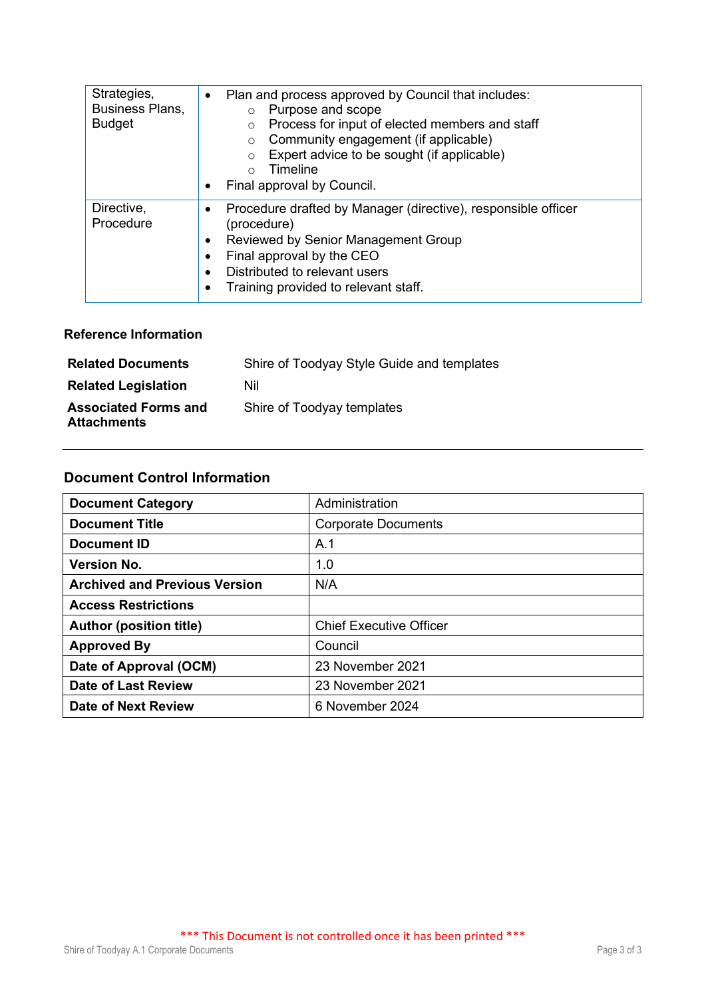| Strategies,<br>Business Plans,<br><b>Budget</b> | Plan and process approved by Council that includes:<br>$\bullet$<br>Purpose and scope<br>$\circ$<br>Process for input of elected members and staff<br>$\circ$<br>Community engagement (if applicable)<br>$\circ$<br>Expert advice to be sought (if applicable)<br>$\Omega$<br>Timeline<br>$\bigcap$<br>Final approval by Council. |  |
|-------------------------------------------------|-----------------------------------------------------------------------------------------------------------------------------------------------------------------------------------------------------------------------------------------------------------------------------------------------------------------------------------|--|
| Directive,<br>Procedure                         | Procedure drafted by Manager (directive), responsible officer<br>(procedure)<br>Reviewed by Senior Management Group<br>Final approval by the CEO<br>Distributed to relevant users<br>Training provided to relevant staff.                                                                                                         |  |

## **Reference Information**

| <b>Related Documents</b>                          | Shire of Toodyay Style Guide and templates |
|---------------------------------------------------|--------------------------------------------|
| <b>Related Legislation</b>                        | Nil                                        |
| <b>Associated Forms and</b><br><b>Attachments</b> | Shire of Toodyay templates                 |

## **Document Control Information**

| <b>Document Category</b>             | Administration                 |
|--------------------------------------|--------------------------------|
| <b>Document Title</b>                | <b>Corporate Documents</b>     |
| Document ID                          | A.1                            |
| <b>Version No.</b>                   | 1.0                            |
| <b>Archived and Previous Version</b> | N/A                            |
| <b>Access Restrictions</b>           |                                |
| <b>Author (position title)</b>       | <b>Chief Executive Officer</b> |
| <b>Approved By</b>                   | Council                        |
| Date of Approval (OCM)               | 23 November 2021               |
| <b>Date of Last Review</b>           | 23 November 2021               |
| <b>Date of Next Review</b>           | 6 November 2024                |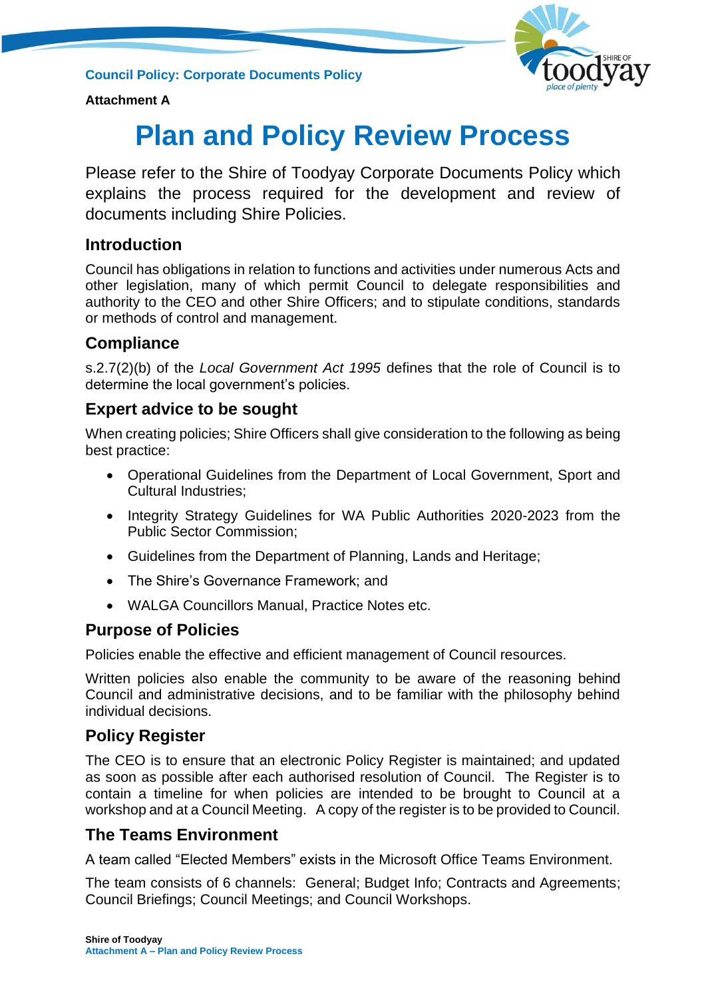**Council Policy: Corporate Documents Policy**



## **Attachment A**

# **Plan and Policy Review Process**

Please refer to the Shire of Toodyay Corporate Documents Policy which explains the process required for the development and review of documents including Shire Policies.

# **Introduction**

Council has obligations in relation to functions and activities under numerous Acts and other legislation, many of which permit Council to delegate responsibilities and authority to the CEO and other Shire Officers; and to stipulate conditions, standards or methods of control and management.

# **Compliance**

s.2.7(2)(b) of the *Local Government Act 1995* defines that the role of Council is to determine the local government's policies.

# **Expert advice to be sought**

When creating policies; Shire Officers shall give consideration to the following as being best practice:

- Operational Guidelines from the Department of Local Government, Sport and Cultural Industries;
- Integrity Strategy Guidelines for WA Public Authorities 2020-2023 from the Public Sector Commission;
- Guidelines from the Department of Planning, Lands and Heritage;
- The Shire's Governance Framework; and
- WALGA Councillors Manual, Practice Notes etc.

# **Purpose of Policies**

Policies enable the effective and efficient management of Council resources.

Written policies also enable the community to be aware of the reasoning behind Council and administrative decisions, and to be familiar with the philosophy behind individual decisions.

# **Policy Register**

The CEO is to ensure that an electronic Policy Register is maintained; and updated as soon as possible after each authorised resolution of Council. The Register is to contain a timeline for when policies are intended to be brought to Council at a workshop and at a Council Meeting. A copy of the register is to be provided to Council.

# **The Teams Environment**

A team called "Elected Members" exists in the Microsoft Office Teams Environment.

The team consists of 6 channels: General; Budget Info; Contracts and Agreements; Council Briefings; Council Meetings; and Council Workshops.